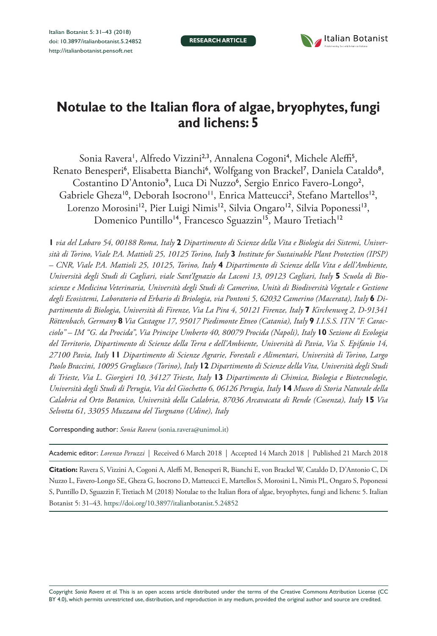**RESEARCH ARTICLE**



# **Notulae to the Italian flora of algae, bryophytes, fungi and lichens: 5**

Sonia Ravera', Alfredo Vizzini<sup>2,3</sup>, Annalena Cogoni<sup>4</sup>, Michele Aleffi<sup>5</sup>, Renato Benesperi<sup>6</sup>, Elisabetta Bianchi<sup>6</sup>, Wolfgang von Brackel<sup>7</sup>, Daniela Cataldo<sup>8</sup>, Costantino D'Antonio<sup>9</sup>, Luca Di Nuzzo<sup>6</sup>, Sergio Enrico Favero-Longo<sup>2</sup>, Gabriele Gheza<sup>10</sup>, Deborah Isocrono<sup>11</sup>, Enrica Matteucci<sup>2</sup>, Stefano Martellos<sup>12</sup>, Lorenzo Morosini<sup>12</sup>, Pier Luigi Nimis<sup>12</sup>, Silvia Ongaro<sup>12</sup>, Silvia Poponessi<sup>13</sup>, Domenico Puntillo<sup>14</sup>, Francesco Sguazzin<sup>15</sup>, Mauro Tretiach<sup>12</sup>

**1** *via del Labaro 54, 00188 Roma, Italy* **2** *Dipartimento di Scienze della Vita e Biologia dei Sistemi, Università di Torino, Viale P.A. Mattioli 25, 10125 Torino, Italy* **3** *Institute for Sustainable Plant Protection (IPSP) – CNR, Viale P.A. Mattioli 25, 10125, Torino, Italy* **4** *Dipartimento di Scienze della Vita e dell'Ambiente,*  Università degli Studi di Cagliari, viale Sant'Ignazio da Laconi 13, 09123 Cagliari, Italy 5 Scuola di Bio*scienze e Medicina Veterinaria, Università degli Studi di Camerino, Unità di Biodiversità Vegetale e Gestione degli Ecosistemi, Laboratorio ed Erbario di Briologia, via Pontoni 5, 62032 Camerino (Macerata), Italy* **6** *Dipartimento di Biologia, Università di Firenze, Via La Pira 4, 50121 Firenze, Italy* **7** *Kirchenweg 2, D-91341 Röttenbach, Germany* **8** *Via Castagne 17, 95017 Piedimonte Etneo (Catania), Italy* **9** *I.I.S.S. ITN "F. Caracciolo" – IM "G. da Procida", Via Principe Umberto 40, 80079 Procida (Napoli), Italy* **10** *Sezione di Ecologia del Territorio, Dipartimento di Scienze della Terra e dell'Ambiente, Università di Pavia, Via S. Epifanio 14, 27100 Pavia, Italy* **11** *Dipartimento di Scienze Agrarie, Forestali e Alimentari, Università di Torino, Largo Paolo Braccini, 10095 Grugliasco (Torino), Italy* **12** *Dipartimento di Scienze della Vita, Università degli Studi di Trieste, Via L. Giorgieri 10, 34127 Trieste, Italy* **13** *Dipartimento di Chimica, Biologia e Biotecnologie, Università degli Studi di Perugia, Via del Giochetto 6, 06126 Perugia, Italy* **14** *Museo di Storia Naturale della Calabria ed Orto Botanico, Università della Calabria, 87036 Arcavacata di Rende (Cosenza), Italy* **15** *Via Selvotta 61, 33055 Muzzana del Turgnano (Udine), Italy*

Corresponding author: *Sonia Ravera* ([sonia.ravera@unimol.it](mailto:sonia.ravera@unimol.it))

Academic editor: *Lorenzo Peruzzi* | Received 6 March 2018 | Accepted 14 March 2018 | Published 21 March 2018

**Citation:** Ravera S, Vizzini A, Cogoni A, Aleffi M, Benesperi R, Bianchi E, von Brackel W, Cataldo D, D'Antonio C, Di Nuzzo L, Favero-Longo SE, Gheza G, Isocrono D, Matteucci E, Martellos S, Morosini L, Nimis PL, Ongaro S, Poponessi S, Puntillo D, Sguazzin F, Tretiach M (2018) Notulae to the Italian flora of algae, bryophytes, fungi and lichens: 5. Italian Botanist 5: 31–43.<https://doi.org/10.3897/italianbotanist.5.24852>

Copyright *Sonia Ravera et al.* This is an open access article distributed under the terms of the [Creative Commons Attribution License \(CC](http://creativecommons.org/licenses/by/4.0/)  [BY 4.0\)](http://creativecommons.org/licenses/by/4.0/), which permits unrestricted use, distribution, and reproduction in any medium, provided the original author and source are credited.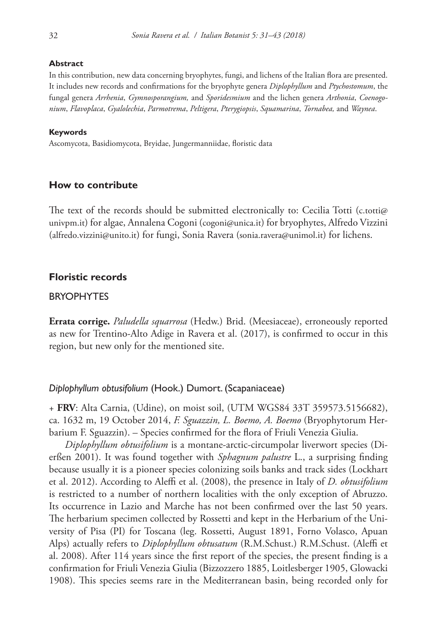#### **Abstract**

In this contribution, new data concerning bryophytes, fungi, and lichens of the Italian flora are presented. It includes new records and confirmations for the bryophyte genera *Diplophyllum* and *Ptychostomum*, the fungal genera *Arrhenia*, *Gymnosporangium,* and *Sporidesmium* and the lichen genera *Arthonia*, *Coenogonium*, *Flavoplaca*, *Gyalolechia*, *Parmotrema*, *Peltigera*, *Pterygiopsis*, *Squamarina*, *Tornabea,* and *Waynea*.

#### **Keywords**

Ascomycota, Basidiomycota, Bryidae, Jungermanniidae, floristic data

#### **How to contribute**

The text of the records should be submitted electronically to: Cecilia Totti [\(c.totti@](mailto:c.totti@univpm.it) [univpm.it\)](mailto:c.totti@univpm.it) for algae, Annalena Cogoni ([cogoni@unica.it\)](mailto:cogoni@unica.it) for bryophytes, Alfredo Vizzini ([alfredo.vizzini@unito.it](mailto:alfredo.vizzini@unito.it)) for fungi, Sonia Ravera ([sonia.ravera@unimol.it\)](mailto:sonia.ravera@unimol.it) for lichens.

## **Floristic records**

# BRYOPHYTES

**Errata corrige.** *Paludella squarrosa* (Hedw.) Brid. (Meesiaceae), erroneously reported as new for Trentino-Alto Adige in Ravera et al. (2017), is confirmed to occur in this region, but new only for the mentioned site.

## *Diplophyllum obtusifolium* (Hook.) Dumort. (Scapaniaceae)

+ **FRV**: Alta Carnia, (Udine), on moist soil, (UTM WGS84 33T 359573.5156682), ca. 1632 m, 19 October 2014, *F. Sguazzin, L. Boemo, A. Boemo* (Bryophytorum Herbarium F. Sguazzin). – Species confirmed for the flora of Friuli Venezia Giulia.

*Diplophyllum obtusifolium* is a montane-arctic-circumpolar liverwort species (Dierßen 2001). It was found together with *Sphagnum palustre* L., a surprising finding because usually it is a pioneer species colonizing soils banks and track sides (Lockhart et al. 2012). According to Aleffi et al. (2008), the presence in Italy of *D. obtusifolium* is restricted to a number of northern localities with the only exception of Abruzzo. Its occurrence in Lazio and Marche has not been confirmed over the last 50 years. The herbarium specimen collected by Rossetti and kept in the Herbarium of the University of Pisa (PI) for Toscana (leg. Rossetti, August 1891, Forno Volasco, Apuan Alps) actually refers to *Diplophyllum obtusatum* (R.M.Schust.) R.M.Schust. (Aleffi et al. 2008). After 114 years since the first report of the species, the present finding is a confirmation for Friuli Venezia Giulia (Bizzozzero 1885, Loitlesberger 1905, Glowacki 1908). This species seems rare in the Mediterranean basin, being recorded only for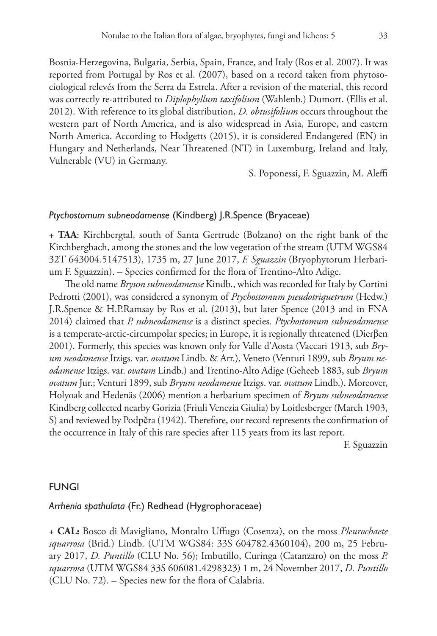Bosnia-Herzegovina, Bulgaria, Serbia, Spain, France, and Italy (Ros et al. 2007). It was reported from Portugal by Ros et al. (2007), based on a record taken from phytosociological relevés from the Serra da Estrela. After a revision of the material, this record was correctly re-attributed to *Diplophyllum taxifolium* (Wahlenb.) Dumort. (Ellis et al. 2012). With reference to its global distribution, *D. obtusifolium* occurs throughout the western part of North America, and is also widespread in Asia, Europe, and eastern North America. According to Hodgetts (2015), it is considered Endangered (EN) in Hungary and Netherlands, Near Threatened (NT) in Luxemburg, Ireland and Italy, Vulnerable (VU) in Germany.

S. Poponessi, F. Sguazzin, M. Aleffi

# *Ptychostomum subneodamense* (Kindberg) J.R.Spence (Bryaceae)

+ **TAA**: Kirchbergtal, south of Santa Gertrude (Bolzano) on the right bank of the Kirchbergbach, among the stones and the low vegetation of the stream (UTM WGS84 32T 643004.5147513), 1735 m, 27 June 2017, *F. Sguazzin* (Bryophytorum Herbarium F. Sguazzin). – Species confirmed for the flora of Trentino-Alto Adige.

The old name *Bryum subneodamense* Kindb., which was recorded for Italy by Cortini Pedrotti (2001), was considered a synonym of *Ptychostomum pseudotriquetrum* (Hedw.) J.R.Spence & H.P.Ramsay by Ros et al. (2013), but later Spence (2013 and in FNA 2014) claimed that *P. subneodamense* is a distinct species. *Ptychostomum subneodamense*  is a temperate-arctic-circumpolar species; in Europe, it is regionally threatened (Dierβen 2001). Formerly, this species was known only for Valle d'Aosta (Vaccari 1913, sub *Bryum neodamense* Itzigs. var. *ovatum* Lindb. & Arr.), Veneto (Venturi 1899, sub *Bryum neodamense* Itzigs. var. *ovatum* Lindb.) and Trentino-Alto Adige (Geheeb 1883, sub *Bryum ovatum* Jur.; Venturi 1899, sub *Bryum neodamense* Itzigs. var. *ovatum* Lindb.). Moreover, Holyoak and Hedenäs (2006) mention a herbarium specimen of *Bryum subneodamense* Kindberg collected nearby Gorizia (Friuli Venezia Giulia) by Loitlesberger (March 1903, S) and reviewed by Podpĕra (1942). Therefore, our record represents the confirmation of the occurrence in Italy of this rare species after 115 years from its last report.

F. Sguazzin

#### FUNGI

#### *Arrhenia spathulata* (Fr.) Redhead (Hygrophoraceae)

+ **CAL:** Bosco di Mavigliano, Montalto Uffugo (Cosenza), on the moss *Pleurochaete squarrosa* (Brid.) Lindb. (UTM WGS84: 33S 604782.4360104), 200 m, 25 February 2017, *D. Puntillo* (CLU No. 56); Imbutillo, Curinga (Catanzaro) on the moss *P. squarrosa* (UTM WGS84 33S 606081.4298323) 1 m, 24 November 2017, *D. Puntillo* (CLU No. 72). – Species new for the flora of Calabria.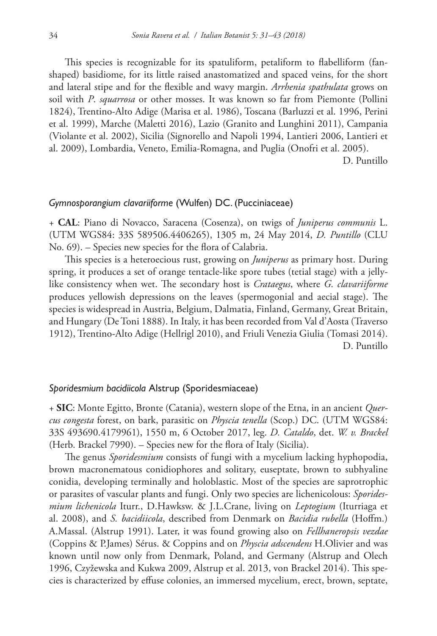This species is recognizable for its spatuliform, petaliform to flabelliform (fanshaped) basidiome, for its little raised anastomatized and spaced veins, for the short and lateral stipe and for the flexible and wavy margin. *Arrhenia spathulata* grows on soil with *P*. *squarrosa* or other mosses. It was known so far from Piemonte (Pollini 1824), Trentino-Alto Adige (Marisa et al. 1986), Toscana (Barluzzi et al. 1996, Perini et al. 1999), Marche (Maletti 2016), Lazio (Granito and Lunghini 2011), Campania (Violante et al. 2002), Sicilia (Signorello and Napoli 1994, Lantieri 2006, Lantieri et al. 2009), Lombardia, Veneto, Emilia-Romagna, and Puglia (Onofri et al. 2005).

D. Puntillo

#### *Gymnosporangium clavariiforme* (Wulfen) DC. (Pucciniaceae)

+ **CAL**: Piano di Novacco, Saracena (Cosenza), on twigs of *Juniperus communis* L. (UTM WGS84: 33S 589506.4406265), 1305 m, 24 May 2014, *D. Puntillo* (CLU No. 69). – Species new species for the flora of Calabria.

This species is a heteroecious rust, growing on *Juniperus* as primary host. During spring, it produces a set of orange tentacle-like spore tubes (tetial stage) with a jellylike consistency when wet. The secondary host is *Crataegus*, where *G. clavariiforme* produces yellowish depressions on the leaves (spermogonial and aecial stage). The species is widespread in Austria, Belgium, Dalmatia, Finland, Germany, Great Britain, and Hungary (De Toni 1888). In Italy, it has been recorded from Val d'Aosta (Traverso 1912), Trentino-Alto Adige (Hellrigl 2010), and Friuli Venezia Giulia (Tomasi 2014). D. Puntillo

#### *Sporidesmium bacidiicola* Alstrup (Sporidesmiaceae)

+ **SIC**: Monte Egitto, Bronte (Catania), western slope of the Etna, in an ancient *Quercus congesta* forest, on bark, parasitic on *Physcia tenella* (Scop.) DC. (UTM WGS84: 33S 493690.4179961), 1550 m, 6 October 2017, leg. *D. Cataldo*, det. *W. v. Brackel* (Herb. Brackel 7990). – Species new for the flora of Italy (Sicilia).

The genus *Sporidesmium* consists of fungi with a mycelium lacking hyphopodia, brown macronematous conidiophores and solitary, euseptate, brown to subhyaline conidia, developing terminally and holoblastic. Most of the species are saprotrophic or parasites of vascular plants and fungi. Only two species are lichenicolous: *Sporidesmium lichenicola* Iturr., D.Hawksw. & J.L.Crane, living on *Leptogium* (Iturriaga et al. 2008), and *S. bacidiicola*, described from Denmark on *Bacidia rubella* (Hoffm.) A.Massal. (Alstrup 1991). Later, it was found growing also on *Fellhaneropsis vezdae* (Coppins & P.James) Sérus. & Coppins and on *Physcia adscendens* H.Olivier and was known until now only from Denmark, Poland, and Germany (Alstrup and Olech 1996, Czyžewska and Kukwa 2009, Alstrup et al. 2013, von Brackel 2014). This species is characterized by effuse colonies, an immersed mycelium, erect, brown, septate,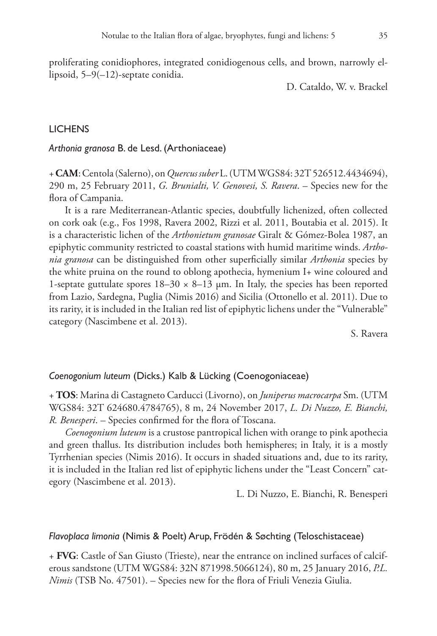proliferating conidiophores, integrated conidiogenous cells, and brown, narrowly ellipsoid, 5–9(–12)-septate conidia.

D. Cataldo, W. v. Brackel

# LICHENS

*Arthonia granosa* B. de Lesd. (Arthoniaceae)

+ **CAM**: Centola (Salerno), on *Quercus suber* L. (UTM WGS84: 32T 526512.4434694), 290 m, 25 February 2011, *G. Brunialti, V. Genovesi, S. Ravera*. – Species new for the flora of Campania.

It is a rare Mediterranean-Atlantic species, doubtfully lichenized, often collected on cork oak (e.g., Fos 1998, Ravera 2002, Rizzi et al. 2011, Boutabia et al. 2015). It is a characteristic lichen of the *Arthonietum granosae* Giralt & Gómez-Bolea 1987, an epiphytic community restricted to coastal stations with humid maritime winds. *Arthonia granosa* can be distinguished from other superficially similar *Arthonia* species by the white pruina on the round to oblong apothecia, hymenium I+ wine coloured and 1-septate guttulate spores  $18-30 \times 8-13$  µm. In Italy, the species has been reported from Lazio, Sardegna, Puglia (Nimis 2016) and Sicilia (Ottonello et al. 2011). Due to its rarity, it is included in the Italian red list of epiphytic lichens under the "Vulnerable" category (Nascimbene et al. 2013).

S. Ravera

#### *Coenogonium luteum* (Dicks.) Kalb & Lücking (Coenogoniaceae)

+ **TOS**: Marina di Castagneto Carducci (Livorno), on *Juniperus macrocarpa* Sm. (UTM WGS84: 32T 624680.4784765), 8 m, 24 November 2017, *L. Di Nuzzo, E. Bianchi, R. Benesperi*. – Species confirmed for the flora of Toscana.

*Coenogonium luteum* is a crustose pantropical lichen with orange to pink apothecia and green thallus. Its distribution includes both hemispheres; in Italy, it is a mostly Tyrrhenian species (Nimis 2016). It occurs in shaded situations and, due to its rarity, it is included in the Italian red list of epiphytic lichens under the "Least Concern" category (Nascimbene et al. 2013).

L. Di Nuzzo, E. Bianchi, R. Benesperi

## *Flavoplaca limonia* (Nimis & Poelt) Arup, Frödén & Søchting (Teloschistaceae)

+ **FVG**: Castle of San Giusto (Trieste), near the entrance on inclined surfaces of calciferous sandstone (UTM WGS84: 32N 871998.5066124), 80 m, 25 January 2016, *P.L. Nimis* (TSB No. 47501). – Species new for the flora of Friuli Venezia Giulia.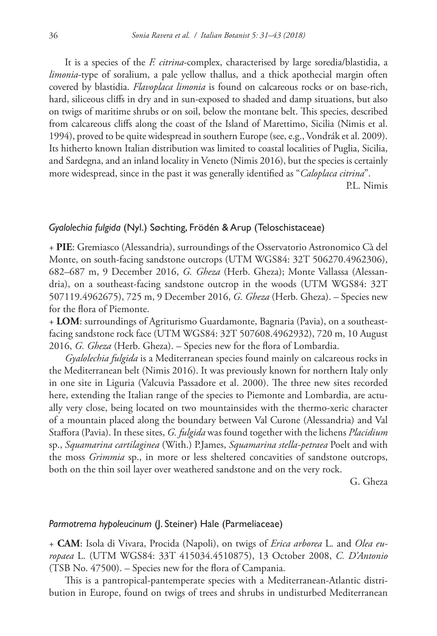It is a species of the *F. citrina*-complex, characterised by large soredia/blastidia, a *limonia*-type of soralium, a pale yellow thallus, and a thick apothecial margin often covered by blastidia. *Flavoplaca limonia* is found on calcareous rocks or on base-rich, hard, siliceous cliffs in dry and in sun-exposed to shaded and damp situations, but also on twigs of maritime shrubs or on soil, below the montane belt. This species, described from calcareous cliffs along the coast of the Island of Marettimo, Sicilia (Nimis et al. 1994), proved to be quite widespread in southern Europe (see, e.g., Vondrák et al. 2009). Its hitherto known Italian distribution was limited to coastal localities of Puglia, Sicilia, and Sardegna, and an inland locality in Veneto (Nimis 2016), but the species is certainly more widespread, since in the past it was generally identified as "*Caloplaca citrina*".

P.L. Nimis

#### *Gyalolechia fulgida* (Nyl.) Søchting, Frödén & Arup (Teloschistaceae)

+ **PIE**: Gremiasco (Alessandria), surroundings of the Osservatorio Astronomico Cà del Monte, on south-facing sandstone outcrops (UTM WGS84: 32T 506270.4962306), 682–687 m, 9 December 2016, *G. Gheza* (Herb. Gheza); Monte Vallassa (Alessandria), on a southeast-facing sandstone outcrop in the woods (UTM WGS84: 32T 507119.4962675), 725 m, 9 December 2016, *G. Gheza* (Herb. Gheza). – Species new for the flora of Piemonte.

+ **LOM**: surroundings of Agriturismo Guardamonte, Bagnaria (Pavia), on a southeastfacing sandstone rock face (UTM WGS84: 32T 507608.4962932), 720 m, 10 August 2016, *G. Gheza* (Herb. Gheza). – Species new for the flora of Lombardia.

*Gyalolechia fulgida* is a Mediterranean species found mainly on calcareous rocks in the Mediterranean belt (Nimis 2016). It was previously known for northern Italy only in one site in Liguria (Valcuvia Passadore et al. 2000). The three new sites recorded here, extending the Italian range of the species to Piemonte and Lombardia, are actually very close, being located on two mountainsides with the thermo-xeric character of a mountain placed along the boundary between Val Curone (Alessandria) and Val Staffora (Pavia). In these sites, *G. fulgida* was found together with the lichens *Placidium* sp., *Squamarina cartilaginea* (With.) P.James, *Squamarina stella-petraea* Poelt and with the moss *Grimmia* sp., in more or less sheltered concavities of sandstone outcrops, both on the thin soil layer over weathered sandstone and on the very rock.

G. Gheza

#### *Parmotrema hypoleucinum* (J. Steiner) Hale (Parmeliaceae)

+ **CAM**: Isola di Vivara, Procida (Napoli), on twigs of *Erica arborea* L. and *Olea europaea* L. (UTM WGS84: 33T 415034.4510875), 13 October 2008, *C. D'Antonio* (TSB No. 47500). – Species new for the flora of Campania.

This is a pantropical-pantemperate species with a Mediterranean-Atlantic distribution in Europe, found on twigs of trees and shrubs in undisturbed Mediterranean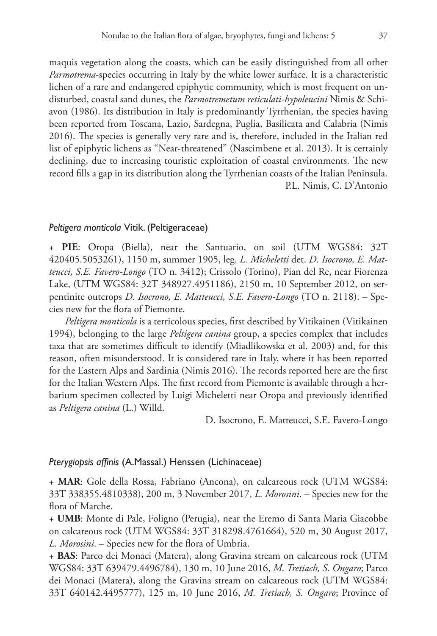maquis vegetation along the coasts, which can be easily distinguished from all other *Parmotrema*-species occurring in Italy by the white lower surface. It is a characteristic lichen of a rare and endangered epiphytic community, which is most frequent on undisturbed, coastal sand dunes, the *Parmotremetum reticulati-hypoleucini* Nimis & Schiavon (1986). Its distribution in Italy is predominantly Tyrrhenian, the species having been reported from Toscana, Lazio, Sardegna, Puglia, Basilicata and Calabria (Nimis 2016). The species is generally very rare and is, therefore, included in the Italian red list of epiphytic lichens as "Near-threatened" (Nascimbene et al. 2013). It is certainly declining, due to increasing touristic exploitation of coastal environments. The new record fills a gap in its distribution along the Tyrrhenian coasts of the Italian Peninsula. P.L. Nimis, C. D'Antonio

#### *Peltigera monticola* Vitik. (Peltigeraceae)

+ **PIE**: Oropa (Biella), near the Santuario, on soil (UTM WGS84: 32T 420405.5053261), 1150 m, summer 1905, leg. *L. Micheletti* det. *D. Isocrono, E. Matteucci, S.E. Favero-Longo* (TO n. 3412); Crissolo (Torino), Pian del Re, near Fiorenza Lake, (UTM WGS84: 32T 348927.4951186), 2150 m, 10 September 2012, on serpentinite outcrops *D. Isocrono, E. Matteucci, S.E. Favero-Longo* (TO n. 2118). – Species new for the flora of Piemonte.

*Peltigera monticola* is a terricolous species, first described by Vitikainen (Vitikainen 1994), belonging to the large *Peltigera canina* group, a species complex that includes taxa that are sometimes difficult to identify (Miadlikowska et al. 2003) and, for this reason, often misunderstood. It is considered rare in Italy, where it has been reported for the Eastern Alps and Sardinia (Nimis 2016). The records reported here are the first for the Italian Western Alps. The first record from Piemonte is available through a herbarium specimen collected by Luigi Micheletti near Oropa and previously identified as *Peltigera canina* (L.) Willd.

D. Isocrono, E. Matteucci, S.E. Favero-Longo

#### *Pterygiopsis affinis* (A.Massal.) Henssen (Lichinaceae)

+ **MAR**: Gole della Rossa, Fabriano (Ancona), on calcareous rock (UTM WGS84: 33T 338355.4810338), 200 m, 3 November 2017, *L. Morosini*. – Species new for the flora of Marche.

+ **UMB**: Monte di Pale, Foligno (Perugia), near the Eremo di Santa Maria Giacobbe on calcareous rock (UTM WGS84: 33T 318298.4761664), 520 m, 30 August 2017, *L. Morosini*. – Species new for the flora of Umbria.

+ **BAS**: Parco dei Monaci (Matera), along Gravina stream on calcareous rock (UTM WGS84: 33T 639479.4496784), 130 m, 10 June 2016, *M. Tretiach, S. Ongaro*; Parco dei Monaci (Matera), along the Gravina stream on calcareous rock (UTM WGS84: 33T 640142.4495777), 125 m, 10 June 2016, *M. Tretiach, S. Ongaro*; Province of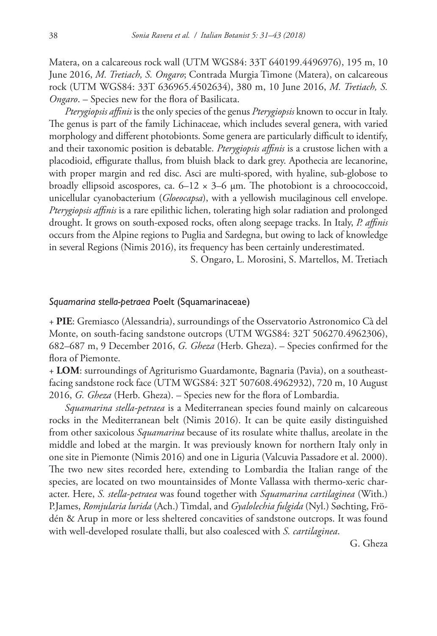Matera, on a calcareous rock wall (UTM WGS84: 33T 640199.4496976), 195 m, 10 June 2016, *M. Tretiach, S. Ongaro*; Contrada Murgia Timone (Matera), on calcareous rock (UTM WGS84: 33T 636965.4502634), 380 m, 10 June 2016, *M. Tretiach, S. Ongaro*. – Species new for the flora of Basilicata.

*Pterygiopsis affinis* is the only species of the genus *Pterygiopsis* known to occur in Italy. The genus is part of the family Lichinaceae, which includes several genera, with varied morphology and different photobionts. Some genera are particularly difficult to identify, and their taxonomic position is debatable. *Pterygiopsis affinis* is a crustose lichen with a placodioid, effigurate thallus, from bluish black to dark grey. Apothecia are lecanorine, with proper margin and red disc. Asci are multi-spored, with hyaline, sub-globose to broadly ellipsoid ascospores, ca.  $6-12 \times 3-6$  µm. The photobiont is a chroococcoid, unicellular cyanobacterium (*Gloeocapsa*), with a yellowish mucilaginous cell envelope. *Pterygiopsis affinis* is a rare epilithic lichen, tolerating high solar radiation and prolonged drought. It grows on south-exposed rocks, often along seepage tracks. In Italy, *P. affinis* occurs from the Alpine regions to Puglia and Sardegna, but owing to lack of knowledge in several Regions (Nimis 2016), its frequency has been certainly underestimated.

S. Ongaro, L. Morosini, S. Martellos, M. Tretiach

#### *Squamarina stella-petraea* Poelt (Squamarinaceae)

+ **PIE**: Gremiasco (Alessandria), surroundings of the Osservatorio Astronomico Cà del Monte, on south-facing sandstone outcrops (UTM WGS84: 32T 506270.4962306), 682–687 m, 9 December 2016, *G. Gheza* (Herb. Gheza). – Species confirmed for the flora of Piemonte.

+ **LOM**: surroundings of Agriturismo Guardamonte, Bagnaria (Pavia), on a southeastfacing sandstone rock face (UTM WGS84: 32T 507608.4962932), 720 m, 10 August 2016, *G. Gheza* (Herb. Gheza). – Species new for the flora of Lombardia.

*Squamarina stella-petraea* is a Mediterranean species found mainly on calcareous rocks in the Mediterranean belt (Nimis 2016). It can be quite easily distinguished from other saxicolous *Squamarina* because of its rosulate white thallus, areolate in the middle and lobed at the margin. It was previously known for northern Italy only in one site in Piemonte (Nimis 2016) and one in Liguria (Valcuvia Passadore et al. 2000). The two new sites recorded here, extending to Lombardia the Italian range of the species, are located on two mountainsides of Monte Vallassa with thermo-xeric character. Here, *S. stella-petraea* was found together with *Squamarina cartilaginea* (With.) P.James, *Romjularia lurida* (Ach.) Timdal, and *Gyalolechia fulgida* (Nyl.) Søchting, Frödén & Arup in more or less sheltered concavities of sandstone outcrops. It was found with well-developed rosulate thalli, but also coalesced with *S. cartilaginea*.

G. Gheza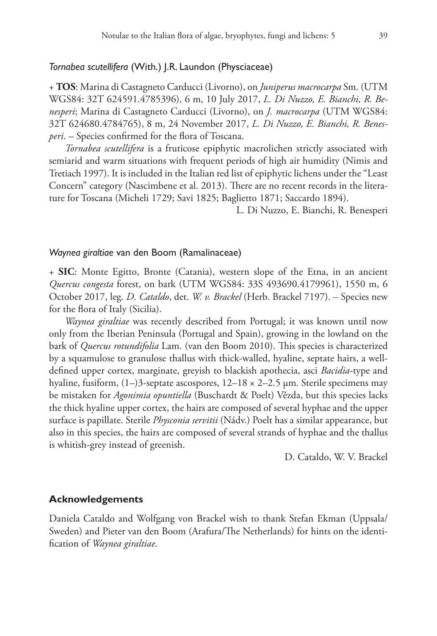#### *Tornabea scutellifera* (With.) J.R. Laundon (Physciaceae)

+ **TOS**: Marina di Castagneto Carducci (Livorno), on *Juniperus macrocarpa* Sm. (UTM WGS84: 32T 624591.4785396), 6 m, 10 July 2017, *L. Di Nuzzo, E. Bianchi, R. Benesperi*; Marina di Castagneto Carducci (Livorno), on *J. macrocarpa* (UTM WGS84: 32T 624680.4784765), 8 m, 24 November 2017, *L. Di Nuzzo, E. Bianchi, R. Benesperi*. – Species confirmed for the flora of Toscana.

*Tornabea scutellifera* is a fruticose epiphytic macrolichen strictly associated with semiarid and warm situations with frequent periods of high air humidity (Nimis and Tretiach 1997). It is included in the Italian red list of epiphytic lichens under the "Least Concern" category (Nascimbene et al. 2013). There are no recent records in the literature for Toscana (Micheli 1729; Savi 1825; Baglietto 1871; Saccardo 1894).

L. Di Nuzzo, E. Bianchi, R. Benesperi

#### *Waynea giraltiae* van den Boom (Ramalinaceae)

+ **SIC**: Monte Egitto, Bronte (Catania), western slope of the Etna, in an ancient *Quercus congesta* forest, on bark (UTM WGS84: 33S 493690.4179961), 1550 m, 6 October 2017, leg. *D. Cataldo*, det. *W. v. Brackel* (Herb. Brackel 7197). – Species new for the flora of Italy (Sicilia).

*Waynea giraltiae* was recently described from Portugal; it was known until now only from the Iberian Peninsula (Portugal and Spain), growing in the lowland on the bark of *Quercus rotundifolia* Lam. (van den Boom 2010). This species is characterized by a squamulose to granulose thallus with thick-walled, hyaline, septate hairs, a welldefined upper cortex, marginate, greyish to blackish apothecia, asci *Bacidia*-type and hyaline, fusiform,  $(1-)3$ -septate ascospores,  $12-18 \times 2-2.5 \mu$ m. Sterile specimens may be mistaken for *Agonimia opuntiella* (Buschardt & Poelt) Vězda, but this species lacks the thick hyaline upper cortex, the hairs are composed of several hyphae and the upper surface is papillate. Sterile *Physconia servitii* (Nádv.) Poelt has a similar appearance, but also in this species, the hairs are composed of several strands of hyphae and the thallus is whitish-grey instead of greenish.

D. Cataldo, W. V. Brackel

#### **Acknowledgements**

Daniela Cataldo and Wolfgang von Brackel wish to thank Stefan Ekman (Uppsala/ Sweden) and Pieter van den Boom (Arafura/The Netherlands) for hints on the identification of *Waynea giraltiae*.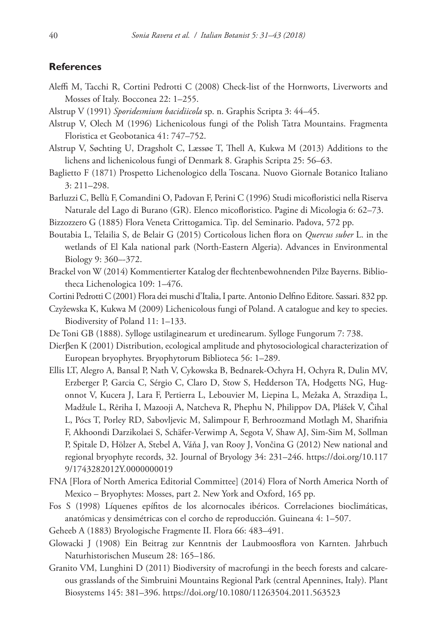## **References**

- Aleffi M, Tacchi R, Cortini Pedrotti C (2008) Check-list of the Hornworts, Liverworts and Mosses of Italy. Bocconea 22: 1–255.
- Alstrup V (1991) *Sporidesmium bacidiicola* sp. n. Graphis Scripta 3: 44–45.
- Alstrup V, Olech M (1996) Lichenicolous fungi of the Polish Tatra Mountains. Fragmenta Floristica et Geobotanica 41: 747–752.
- Alstrup V, Søchting U, Dragsholt C, Læssøe T, Thell A, Kukwa M (2013) Additions to the lichens and lichenicolous fungi of Denmark 8. Graphis Scripta 25: 56–63.
- Baglietto F (1871) Prospetto Lichenologico della Toscana. Nuovo Giornale Botanico Italiano 3: 211–298.
- Barluzzi C, Bellù F, Comandini O, Padovan F, Perini C (1996) Studi micofloristici nella Riserva Naturale del Lago di Burano (GR). Elenco micofloristico. Pagine di Micologia 6: 62–73.
- Bizzozzero G (1885) Flora Veneta Crittogamica. Tip. del Seminario. Padova, 572 pp.
- Boutabia L, Telailia S, de Belair G (2015) Corticolous lichen flora on *Quercus suber* L. in the wetlands of El Kala national park (North-Eastern Algeria). Advances in Environmental Biology 9: 360–-372.
- Brackel von W (2014) Kommentierter Katalog der flechtenbewohnenden Pilze Bayerns. Bibliotheca Lichenologica 109: 1–476.
- Cortini Pedrotti C (2001) Flora dei muschi d'Italia, I parte. Antonio Delfino Editore. Sassari. 832 pp.
- Czyžewska K, Kukwa M (2009) Lichenicolous fungi of Poland. A catalogue and key to species. Biodiversity of Poland 11: 1–133.
- De Toni GB (1888). Sylloge ustilaginearum et uredinearum. Sylloge Fungorum 7: 738.
- Dierβen K (2001) Distribution, ecological amplitude and phytosociological characterization of European bryophytes. Bryophytorum Biblioteca 56: 1–289.
- Ellis LT, Alegro A, Bansal P, Nath V, Cykowska B, Bednarek-Ochyra H, Ochyra R, Dulin MV, Erzberger P, Garcia C, Sérgio C, Claro D, Stow S, Hedderson TA, Hodgetts NG, Hugonnot V, Kucera J, Lara F, Pertierra L, Lebouvier M, Liepina L, Mežaka A, Strazdiņa L, Madžule L, Rēriha I, Mazooji A, Natcheva R, Phephu N, Philippov DA, Plášek V, Čihal L, Pócs T, Porley RD, Sabovljevic M, Salimpour F, Berhroozmand Motlagh M, Sharifnia F, Akhoondi Darzikolaei S, Schäfer-Verwimp A, Segota V, Shaw AJ, Sim-Sim M, Sollman P, Spitale D, Hölzer A, Stebel A, Váňa J, van Rooy J, Vončina G (2012) New national and regional bryophyte records, 32. Journal of Bryology 34: 231–246. [https://doi.org/10.117](https://doi.org/10.1179/1743282012Y.0000000019) [9/1743282012Y.0000000019](https://doi.org/10.1179/1743282012Y.0000000019)
- FNA [Flora of North America Editorial Committee] (2014) Flora of North America North of Mexico – Bryophytes: Mosses, part 2. New York and Oxford, 165 pp.
- Fos S (1998) Líquenes epífitos de los alcornocales ibéricos. Correlaciones bioclimáticas, anatómicas y densimétricas con el corcho de reproducción. Guineana 4: 1–507.
- Geheeb A (1883) Bryologische Fragmente II. Flora 66: 483–491.
- Glowacki J (1908) Ein Beitrag zur Kenntnis der Laubmoosflora von Karnten. Jahrbuch Naturhistorischen Museum 28: 165–186.
- Granito VM, Lunghini D (2011) Biodiversity of macrofungi in the beech forests and calcareous grasslands of the Simbruini Mountains Regional Park (central Apennines, Italy). Plant Biosystems 145: 381–396.<https://doi.org/10.1080/11263504.2011.563523>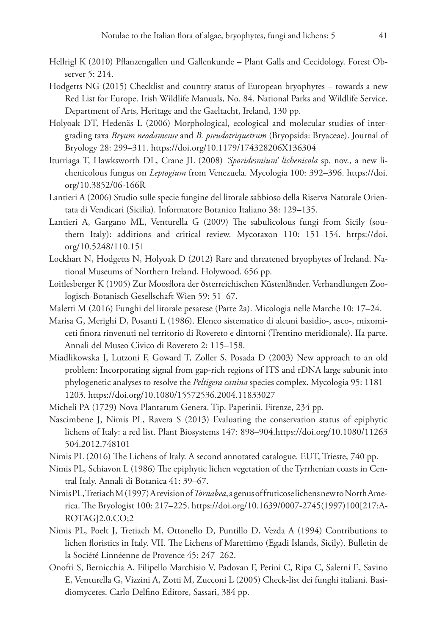- Hellrigl K (2010) Pflanzengallen und Gallenkunde Plant Galls and Cecidology. Forest Observer 5: 214.
- Hodgetts NG (2015) Checklist and country status of European bryophytes towards a new Red List for Europe. Irish Wildlife Manuals, No. 84. National Parks and Wildlife Service, Department of Arts, Heritage and the Gaeltacht, Ireland, 130 pp.
- Holyoak DT, Hedenäs L (2006) Morphological, ecological and molecular studies of intergrading taxa *Bryum neodamense* and *B. pseudotriquetrum* (Bryopsida: Bryaceae). Journal of Bryology 28: 299–311. <https://doi.org/10.1179/174328206X136304>
- Iturriaga T, Hawksworth DL, Crane JL (2008) *'Sporidesmium' lichenicola* sp. nov., a new lichenicolous fungus on *Leptogium* from Venezuela. Mycologia 100: 392–396. [https://doi.](https://doi.org/10.3852/06-166R) [org/10.3852/06-166R](https://doi.org/10.3852/06-166R)
- Lantieri A (2006) Studio sulle specie fungine del litorale sabbioso della Riserva Naturale Orientata di Vendicari (Sicilia). Informatore Botanico Italiano 38: 129–135.
- Lantieri A, Gargano ML, Venturella G (2009) The sabulicolous fungi from Sicily (southern Italy): additions and critical review. Mycotaxon 110: 151–154. [https://doi.](https://doi.org/10.5248/110.151) [org/10.5248/110.151](https://doi.org/10.5248/110.151)
- Lockhart N, Hodgetts N, Holyoak D (2012) Rare and threatened bryophytes of Ireland. National Museums of Northern Ireland, Holywood. 656 pp.
- Loitlesberger K (1905) Zur Moosflora der ӧsterreichischen Küstenlӓnder. Verhandlungen Zoologisch-Botanisch Gesellschaft Wien 59: 51–67.
- Maletti M (2016) Funghi del litorale pesarese (Parte 2a). Micologia nelle Marche 10: 17–24.
- Marisa G, Merighi D, Posanti L (1986). Elenco sistematico di alcuni basidio-, asco-, mixomiceti finora rinvenuti nel territorio di Rovereto e dintorni (Trentino meridionale). IIa parte. Annali del Museo Civico di Rovereto 2: 115–158.
- Miadlikowska J, Lutzoni F, Goward T, Zoller S, Posada D (2003) New approach to an old problem: Incorporating signal from gap-rich regions of ITS and rDNA large subunit into phylogenetic analyses to resolve the *Peltigera canina* species complex. Mycologia 95: 1181– 1203.<https://doi.org/10.1080/15572536.2004.11833027>
- Micheli PA (1729) Nova Plantarum Genera. Tip. Paperinii. Firenze, 234 pp.
- Nascimbene J, Nimis PL, Ravera S (2013) Evaluating the conservation status of epiphytic lichens of Italy: a red list. Plant Biosystems 147: 898–904.[https://doi.org/10.1080/11263](https://doi.org/10.1080/11263504.2012.748101) [504.2012.748101](https://doi.org/10.1080/11263504.2012.748101)
- Nimis PL (2016) The Lichens of Italy. A second annotated catalogue. EUT, Trieste, 740 pp.
- Nimis PL, Schiavon L (1986) The epiphytic lichen vegetation of the Tyrrhenian coasts in Central Italy. Annali di Botanica 41: 39–67.
- Nimis PL, Tretiach M (1997) A revision of *Tornabea*, a genus of fruticose lichens new to North America. The Bryologist 100: 217–225. [https://doi.org/10.1639/0007-2745\(1997\)100\[217:A-](https://doi.org/10.1639/0007-2745(1997)100%5B217:AROTAG%5D2.0.CO;2)[ROTAG\]2.0.CO;2](https://doi.org/10.1639/0007-2745(1997)100%5B217:AROTAG%5D2.0.CO;2)
- Nimis PL, Poelt J, Tretiach M, Ottonello D, Puntillo D, Vezda A (1994) Contributions to lichen floristics in Italy. VII. The Lichens of Marettimo (Egadi Islands, Sicily). Bulletin de la Société Linnéenne de Provence 45: 247–262.
- Onofri S, Bernicchia A, Filipello Marchisio V, Padovan F, Perini C, Ripa C, Salerni E, Savino E, Venturella G, Vizzini A, Zotti M, Zucconi L (2005) Check-list dei funghi italiani. Basidiomycetes. Carlo Delfino Editore, Sassari, 384 pp.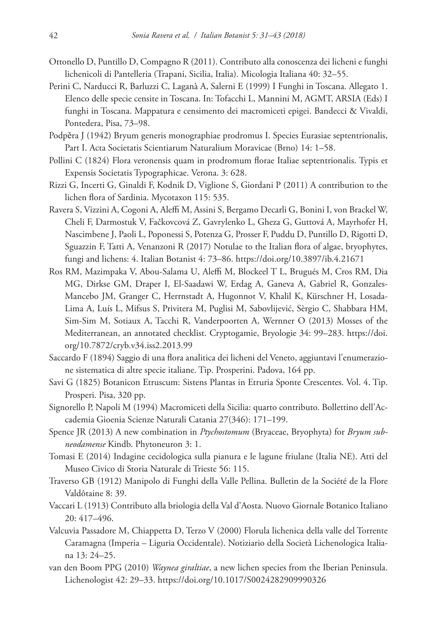- Ottonello D, Puntillo D, Compagno R (2011). Contributo alla conoscenza dei licheni e funghi lichenicoli di Pantelleria (Trapani, Sicilia, Italia). Micologia Italiana 40: 32–55.
- Perini C, Narducci R, Barluzzi C, Laganà A, Salerni E (1999) I Funghi in Toscana. Allegato 1. Elenco delle specie censite in Toscana. In: Tofacchi L, Mannini M, AGMT, ARSIA (Eds) I funghi in Toscana. Mappatura e censimento dei macromiceti epigei. Bandecci & Vivaldi, Pontedera, Pisa, 73–98.
- Podpĕra J (1942) Bryum generis monographiae prodromus I. Species Eurasiae septentrionalis, Part I. Acta Societatis Scientiarum Naturalium Moravicae (Brno) 14: 1–58.
- Pollini C (1824) Flora veronensis quam in prodromum florae Italiae septentrionalis. Typis et Expensis Societatis Typographicae. Verona. 3: 628.
- Rizzi G, Incerti G, Ginaldi F, Kodnik D, Viglione S, Giordani P (2011) A contribution to the lichen flora of Sardinia. Mycotaxon 115: 535.
- Ravera S, Vizzini A, Cogoni A, Aleffi M, Assini S, Bergamo Decarli G, Bonini I, von Brackel W, Cheli F, Darmostuk V, Fačkovcová Z, Gavrylenko L, Gheza G, Guttová A, Mayrhofer H, Nascimbene J, Paoli L, Poponessi S, Potenza G, Prosser F, Puddu D, Puntillo D, Rigotti D, Sguazzin F, Tatti A, Venanzoni R (2017) Notulae to the Italian flora of algae, bryophytes, fungi and lichens: 4. Italian Botanist 4: 73–86.<https://doi.org/10.3897/ib.4.21671>
- Ros RM, Mazimpaka V, Abou-Salama U, Aleffi M, Blockeel T L, Brugués M, Cros RM, Dia MG, Dirkse GM, Draper I, El-Saadawi W, Erdag A, Ganeva A, Gabriel R, Gonzales-Mancebo JM, Granger C, Herrnstadt A, Hugonnot V, Khalil K, Kürschner H, Losada-Lima A, Luís L, Mifsus S, Privitera M, Puglisi M, Sabovlijević, Sèrgio C, Shabbara HM, Sim-Sim M, Sotiaux A, Tacchi R, Vanderpoorten A, Wernner O (2013) Mosses of the Mediterranean, an annotated checklist. Cryptogamie, Bryologie 34: 99–283. [https://doi.](https://doi.org/10.7872/cryb.v34.iss2.2013.99) [org/10.7872/cryb.v34.iss2.2013.99](https://doi.org/10.7872/cryb.v34.iss2.2013.99)
- Saccardo F (1894) Saggio di una flora analitica dei licheni del Veneto, aggiuntavi l'enumerazione sistematica di altre specie italiane. Tip. Prosperini. Padova, 164 pp.
- Savi G (1825) Botanicon Etruscum: Sistens Plantas in Etruria Sponte Crescentes. Vol. 4. Tip. Prosperi. Pisa, 320 pp.
- Signorello P, Napoli M (1994) Macromiceti della Sicilia: quarto contributo. Bollettino dell'Accademia Gioenia Scienze Naturali Catania 27(346): 171–199.
- Spence JR (2013) A new combination in *Ptychostomum* (Bryaceae, Bryophyta) for *Bryum subneodamense* Kindb. Phytoneuron 3: 1.
- Tomasi E (2014) Indagine cecidologica sulla pianura e le lagune friulane (Italia NE). Atti del Museo Civico di Storia Naturale di Trieste 56: 115.
- Traverso GB (1912) Manipolo di Funghi della Valle Pellina. Bulletin de la Société de la Flore Valdôtaine 8: 39.
- Vaccari L (1913) Contributo alla briologia della Val d'Aosta. Nuovo Giornale Botanico Italiano 20: 417–496.
- Valcuvia Passadore M, Chiappetta D, Terzo V (2000) Florula lichenica della valle del Torrente Caramagna (Imperia – Liguria Occidentale). Notiziario della Società Lichenologica Italiana 13: 24–25.
- van den Boom PPG (2010) *Waynea giraltiae*, a new lichen species from the Iberian Peninsula. Lichenologist 42: 29–33. <https://doi.org/10.1017/S0024282909990326>